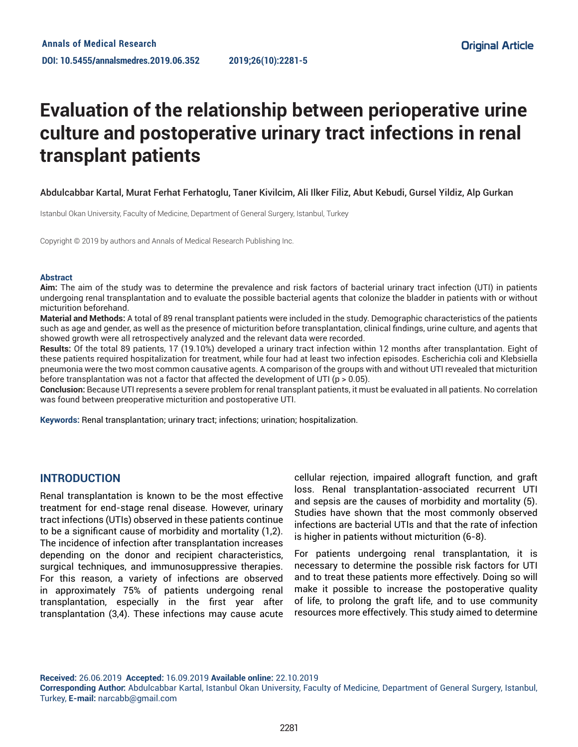# **Evaluation of the relationship between perioperative urine culture and postoperative urinary tract infections in renal transplant patients**

#### Abdulcabbar Kartal, Murat Ferhat Ferhatoglu, Taner Kivilcim, Ali Ilker Filiz, Abut Kebudi, Gursel Yildiz, Alp Gurkan

Istanbul Okan University, Faculty of Medicine, Department of General Surgery, Istanbul, Turkey

Copyright © 2019 by authors and Annals of Medical Research Publishing Inc.

#### **Abstract**

**Aim:** The aim of the study was to determine the prevalence and risk factors of bacterial urinary tract infection (UTI) in patients undergoing renal transplantation and to evaluate the possible bacterial agents that colonize the bladder in patients with or without micturition beforehand.

**Material and Methods:** A total of 89 renal transplant patients were included in the study. Demographic characteristics of the patients such as age and gender, as well as the presence of micturition before transplantation, clinical findings, urine culture, and agents that showed growth were all retrospectively analyzed and the relevant data were recorded.

**Results:** Of the total 89 patients, 17 (19.10%) developed a urinary tract infection within 12 months after transplantation. Eight of these patients required hospitalization for treatment, while four had at least two infection episodes. Escherichia coli and Klebsiella pneumonia were the two most common causative agents. A comparison of the groups with and without UTI revealed that micturition before transplantation was not a factor that affected the development of UTI ( $p > 0.05$ ).

**Conclusion:** Because UTI represents a severe problem for renal transplant patients, it must be evaluated in all patients. No correlation was found between preoperative micturition and postoperative UTI.

**Keywords:** Renal transplantation; urinary tract; infections; urination; hospitalization.

#### **INTRODUCTION**

Renal transplantation is known to be the most effective treatment for end-stage renal disease. However, urinary tract infections (UTIs) observed in these patients continue to be a significant cause of morbidity and mortality (1,2). The incidence of infection after transplantation increases depending on the donor and recipient characteristics, surgical techniques, and immunosuppressive therapies. For this reason, a variety of infections are observed in approximately 75% of patients undergoing renal transplantation, especially in the first year after transplantation (3,4). These infections may cause acute cellular rejection, impaired allograft function, and graft loss. Renal transplantation-associated recurrent UTI and sepsis are the causes of morbidity and mortality (5). Studies have shown that the most commonly observed infections are bacterial UTIs and that the rate of infection is higher in patients without micturition (6-8).

For patients undergoing renal transplantation, it is necessary to determine the possible risk factors for UTI and to treat these patients more effectively. Doing so will make it possible to increase the postoperative quality of life, to prolong the graft life, and to use community resources more effectively. This study aimed to determine

**Received:** 26.06.2019 **Accepted:** 16.09.2019 **Available online:** 22.10.2019

**Corresponding Author:** Abdulcabbar Kartal, Istanbul Okan University, Faculty of Medicine, Department of General Surgery, Istanbul, Turkey, **E-mail:** narcabb@gmail.com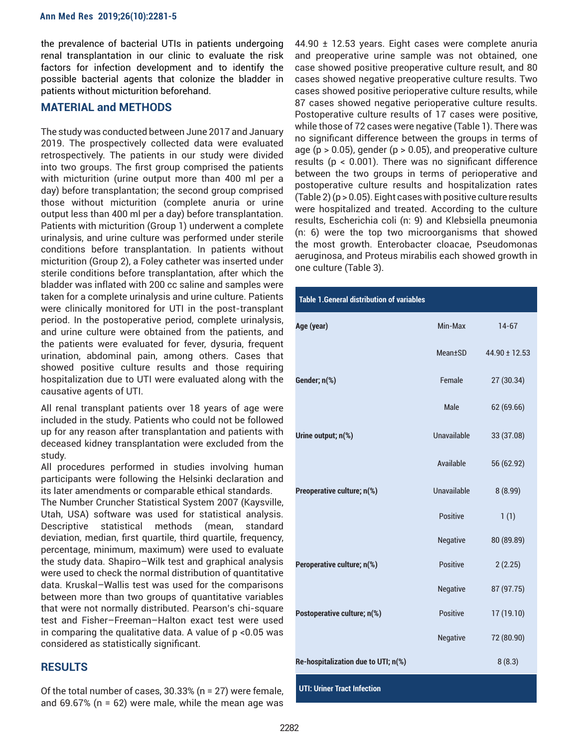the prevalence of bacterial UTIs in patients undergoing renal transplantation in our clinic to evaluate the risk factors for infection development and to identify the possible bacterial agents that colonize the bladder in patients without micturition beforehand.

#### **MATERIAL and METHODS**

The study was conducted between June 2017 and January 2019. The prospectively collected data were evaluated retrospectively. The patients in our study were divided into two groups. The first group comprised the patients with micturition (urine output more than 400 ml per a day) before transplantation; the second group comprised those without micturition (complete anuria or urine output less than 400 ml per a day) before transplantation. Patients with micturition (Group 1) underwent a complete urinalysis, and urine culture was performed under sterile conditions before transplantation. In patients without micturition (Group 2), a Foley catheter was inserted under sterile conditions before transplantation, after which the bladder was inflated with 200 cc saline and samples were taken for a complete urinalysis and urine culture. Patients were clinically monitored for UTI in the post-transplant period. In the postoperative period, complete urinalysis, and urine culture were obtained from the patients, and the patients were evaluated for fever, dysuria, frequent urination, abdominal pain, among others. Cases that showed positive culture results and those requiring hospitalization due to UTI were evaluated along with the causative agents of UTI.

All renal transplant patients over 18 years of age were included in the study. Patients who could not be followed up for any reason after transplantation and patients with deceased kidney transplantation were excluded from the study.

All procedures performed in studies involving human participants were following the Helsinki declaration and its later amendments or comparable ethical standards.

The Number Cruncher Statistical System 2007 (Kaysville, Utah, USA) software was used for statistical analysis. Descriptive statistical methods (mean, standard deviation, median, first quartile, third quartile, frequency, percentage, minimum, maximum) were used to evaluate the study data. Shapiro–Wilk test and graphical analysis were used to check the normal distribution of quantitative data. Kruskal–Wallis test was used for the comparisons between more than two groups of quantitative variables that were not normally distributed. Pearson's chi-square test and Fisher–Freeman–Halton exact test were used in comparing the qualitative data. A value of p <0.05 was considered as statistically significant.

## **RESULTS**

Of the total number of cases, 30.33% (n = 27) were female, and 69.67% ( $n = 62$ ) were male, while the mean age was 44.90 ± 12.53 years. Eight cases were complete anuria and preoperative urine sample was not obtained, one case showed positive preoperative culture result, and 80 cases showed negative preoperative culture results. Two cases showed positive perioperative culture results, while 87 cases showed negative perioperative culture results. Postoperative culture results of 17 cases were positive, while those of 72 cases were negative (Table 1). There was no significant difference between the groups in terms of age ( $p > 0.05$ ), gender ( $p > 0.05$ ), and preoperative culture results (p < 0.001). There was no significant difference between the two groups in terms of perioperative and postoperative culture results and hospitalization rates (Table 2) (p > 0.05). Eight cases with positive culture results were hospitalized and treated. According to the culture results, Escherichia coli (n: 9) and Klebsiella pneumonia (n: 6) were the top two microorganisms that showed the most growth. Enterobacter cloacae, Pseudomonas aeruginosa, and Proteus mirabilis each showed growth in one culture (Table 3).

#### **Table 1.General distribution of variables**

| Age (year)                          | Min-Max         | $14 - 67$         |
|-------------------------------------|-----------------|-------------------|
|                                     | Mean+SD         | $44.90 \pm 12.53$ |
| Gender; n(%)                        | Female          | 27 (30.34)        |
|                                     | Male            | 62 (69.66)        |
| Urine output; n(%)                  | Unavailable     | 33 (37.08)        |
|                                     | Available       | 56 (62.92)        |
| Preoperative culture; n(%)          | Unavailable     | 8(8.99)           |
|                                     | Positive        | 1(1)              |
|                                     | Negative        | 80 (89.89)        |
| Peroperative culture; n(%)          | Positive        | 2(2.25)           |
|                                     | Negative        | 87 (97.75)        |
| Postoperative culture; n(%)         | <b>Positive</b> | 17 (19.10)        |
|                                     | <b>Negative</b> | 72 (80.90)        |
| Re-hospitalization due to UTI; n(%) |                 | 8(8.3)            |

**UTI: Uriner Tract Infection**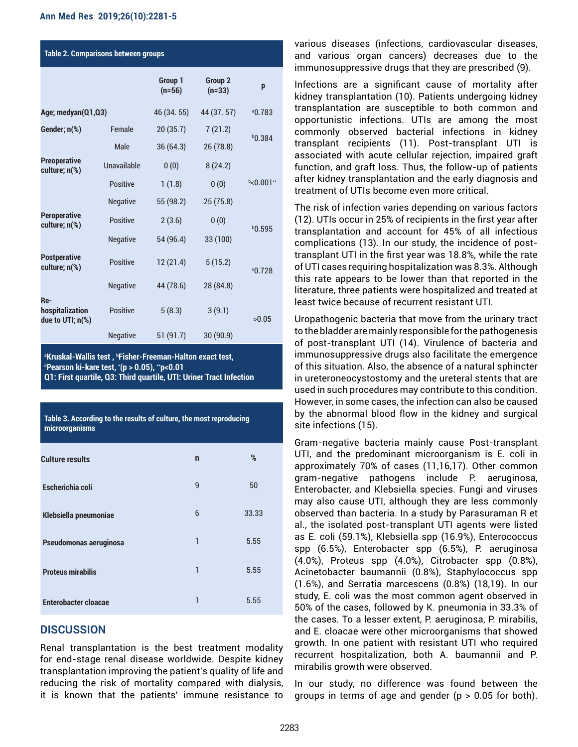| <b>Table 2. Comparisons between groups</b> |                 |                     |                                |             |  |  |
|--------------------------------------------|-----------------|---------------------|--------------------------------|-------------|--|--|
|                                            |                 | Group 1<br>$(n=56)$ | Group <sub>2</sub><br>$(n=33)$ | p           |  |  |
| Age; medyan(Q1,Q3)                         |                 | 46 (34.55)          | 44 (37.57)                     | 0.783       |  |  |
| Gender; n(%)                               | Female          | 20(35.7)            | 7(21.2)                        | $b$ 0.384   |  |  |
|                                            | Male            | 36(64.3)            | 26 (78.8)                      |             |  |  |
| <b>Preoperative</b><br>culture; n(%)       | Unavailable     | 0(0)                | 8(24.2)                        |             |  |  |
|                                            | Positive        | 1(1.8)              | 0(0)                           | $b$ <0.001" |  |  |
|                                            | <b>Negative</b> | 55 (98.2)           | 25 (75.8)                      |             |  |  |
| <b>Peroperative</b><br>culture; n(%)       | <b>Positive</b> | 2(3.6)              | 0(0)                           |             |  |  |
|                                            | <b>Negative</b> | 54 (96.4)           | 33 (100)                       | $b$ 0.595   |  |  |
| <b>Postperative</b><br>culture; n(%)       | <b>Positive</b> | 12(21.4)            | 5(15.2)                        | 0.728       |  |  |
|                                            | <b>Negative</b> | 44 (78.6)           | 28 (84.8)                      |             |  |  |
| Re-<br>hospitalization<br>due to UTI; n(%) | <b>Positive</b> | 5(8.3)              | 3(9.1)                         | >0.05       |  |  |
|                                            | <b>Negative</b> | 51(91.7)            | 30(90.9)                       |             |  |  |

<sup>a</sup>Kruskal-Wallis test , <sup>b</sup>Fisher-Freeman-Halton exact test,<br>©Pearson ki-kare test '(n > 0.05) "n~0.01 **Pearson ki-kare test, \* (p > 0.05), \*\*p<0.01 Q1: First quartile, Q3: Third quartile, UTI: Uriner Tract Infection**

**Table 3. According to the results of culture, the most reproducing** 

| microorganisms              |              |       |
|-----------------------------|--------------|-------|
| <b>Culture results</b>      | $\mathsf{n}$ | %     |
| Escherichia coli            | 9            | 50    |
| Klebsiella pneumoniae       | 6            | 33.33 |
| Pseudomonas aeruginosa      | 1            | 5.55  |
| <b>Proteus mirabilis</b>    | 1            | 5.55  |
| <b>Enterobacter cloacae</b> | 1            | 5.55  |

## **DISCUSSION**

Renal transplantation is the best treatment modality for end-stage renal disease worldwide. Despite kidney transplantation improving the patient's quality of life and reducing the risk of mortality compared with dialysis, it is known that the patients' immune resistance to various diseases (infections, cardiovascular diseases, and various organ cancers) decreases due to the immunosuppressive drugs that they are prescribed (9).

Infections are a significant cause of mortality after kidney transplantation (10). Patients undergoing kidney transplantation are susceptible to both common and opportunistic infections. UTIs are among the most commonly observed bacterial infections in kidney transplant recipients (11). Post-transplant UTI is associated with acute cellular rejection, impaired graft function, and graft loss. Thus, the follow-up of patients after kidney transplantation and the early diagnosis and treatment of UTIs become even more critical.

The risk of infection varies depending on various factors (12). UTIs occur in 25% of recipients in the first year after transplantation and account for 45% of all infectious complications (13). In our study, the incidence of posttransplant UTI in the first year was 18.8%, while the rate of UTI cases requiring hospitalization was 8.3%. Although this rate appears to be lower than that reported in the literature, three patients were hospitalized and treated at least twice because of recurrent resistant UTI.

Uropathogenic bacteria that move from the urinary tract to the bladder are mainly responsible for the pathogenesis of post-transplant UTI (14). Virulence of bacteria and immunosuppressive drugs also facilitate the emergence of this situation. Also, the absence of a natural sphincter in ureteroneocystostomy and the ureteral stents that are used in such procedures may contribute to this condition. However, in some cases, the infection can also be caused by the abnormal blood flow in the kidney and surgical site infections (15).

Gram-negative bacteria mainly cause Post-transplant UTI, and the predominant microorganism is E. coli in approximately 70% of cases (11,16,17). Other common gram-negative pathogens include P. aeruginosa, Enterobacter, and Klebsiella species. Fungi and viruses may also cause UTI, although they are less commonly observed than bacteria. In a study by Parasuraman R et al., the isolated post-transplant UTI agents were listed as E. coli (59.1%), Klebsiella spp (16.9%), Enterococcus spp (6.5%), Enterobacter spp (6.5%), P. aeruginosa (4.0%), Proteus spp (4.0%), Citrobacter spp (0.8%), Acinetobacter baumannii (0.8%), Staphylococcus spp (1.6%), and Serratia marcescens (0.8%) (18,19). In our study, E. coli was the most common agent observed in 50% of the cases, followed by K. pneumonia in 33.3% of the cases. To a lesser extent, P. aeruginosa, P. mirabilis, and E. cloacae were other microorganisms that showed growth. In one patient with resistant UTI who required recurrent hospitalization, both A. baumannii and P. mirabilis growth were observed.

In our study, no difference was found between the groups in terms of age and gender ( $p > 0.05$  for both).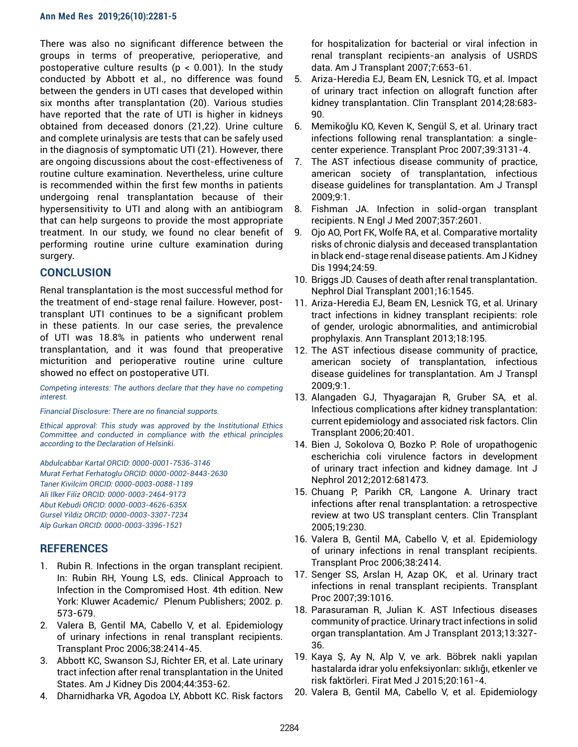There was also no significant difference between the groups in terms of preoperative, perioperative, and postoperative culture results ( $p < 0.001$ ). In the study conducted by Abbott et al., no difference was found between the genders in UTI cases that developed within six months after transplantation (20). Various studies have reported that the rate of UTI is higher in kidneys obtained from deceased donors (21,22). Urine culture and complete urinalysis are tests that can be safely used in the diagnosis of symptomatic UTI (21). However, there are ongoing discussions about the cost-effectiveness of routine culture examination. Nevertheless, urine culture is recommended within the first few months in patients undergoing renal transplantation because of their hypersensitivity to UTI and along with an antibiogram that can help surgeons to provide the most appropriate treatment. In our study, we found no clear benefit of performing routine urine culture examination during surgery.

# **CONCLUSION**

Renal transplantation is the most successful method for the treatment of end-stage renal failure. However, posttransplant UTI continues to be a significant problem in these patients. In our case series, the prevalence of UTI was 18.8% in patients who underwent renal transplantation, and it was found that preoperative micturition and perioperative routine urine culture showed no effect on postoperative UTI.

*Competing interests: The authors declare that they have no competing interest.*

*Financial Disclosure: There are no financial supports.* 

*Ethical approval: This study was approved by the Institutional Ethics Committee and conducted in compliance with the ethical principles according to the Declaration of Helsinki.* 

*Abdulcabbar Kartal ORCID: 0000-0001-7536-3146 Murat Ferhat Ferhatoglu ORCID: 0000-0002-8443-2630 Taner Kivilcim ORCID: 0000-0003-0088-1189 Ali Ilker Filiz ORCID: 0000-0003-2464-9173 Abut Kebudi ORCID: 0000-0003-4626-635X Gursel Yildiz ORCID: 0000-0003-3307-7234 Alp Gurkan ORCID: 0000-0003-3396-1521*

# **REFERENCES**

- 1. Rubin R. Infections in the organ transplant recipient. In: Rubin RH, Young LS, eds. Clinical Approach to Infection in the Compromised Host. 4th edition. New York: Kluwer Academic/ Plenum Publishers; 2002. p. 573-679.
- 2. Valera B, Gentil MA, Cabello V, et al. Epidemiology of urinary infections in renal transplant recipients. Transplant Proc 2006;38:2414-45.
- 3. Abbott KC, Swanson SJ, Richter ER, et al. Late urinary tract infection after renal transplantation in the United States. Am J Kidney Dis 2004;44:353-62.
- 4. Dharnidharka VR, Agodoa LY, Abbott KC. Risk factors

for hospitalization for bacterial or viral infection in renal transplant recipients-an analysis of USRDS data. Am J Transplant 2007;7:653-61.

- 5. Ariza-Heredia EJ, Beam EN, Lesnick TG, et al. Impact of urinary tract infection on allograft function after kidney transplantation. Clin Transplant 2014;28:683- 90.
- 6. Memikoğlu KO, Keven K, Sengül S, et al. Urinary tract infections following renal transplantation: a singlecenter experience. Transplant Proc 2007;39:3131-4.
- 7. The AST infectious disease community of practice, american society of transplantation, infectious disease guidelines for transplantation. Am J Transpl 2009;9:1.
- 8. Fishman JA. Infection in solid-organ transplant recipients. N Engl J Med 2007;357:2601.
- 9. Ojo AO, Port FK, Wolfe RA, et al. Comparative mortality risks of chronic dialysis and deceased transplantation in black end-stage renal disease patients. Am J Kidney Dis 1994;24:59.
- 10. Briggs JD. Causes of death after renal transplantation. Nephrol Dial Transplant 2001;16:1545.
- 11. Ariza-Heredia EJ, Beam EN, Lesnick TG, et al. Urinary tract infections in kidney transplant recipients: role of gender, urologic abnormalities, and antimicrobial prophylaxis. Ann Transplant 2013;18:195.
- 12. The AST infectious disease community of practice, american society of transplantation, infectious disease guidelines for transplantation. Am J Transpl 2009;9:1.
- 13. Alangaden GJ, Thyagarajan R, Gruber SA, et al. Infectious complications after kidney transplantation: current epidemiology and associated risk factors. Clin Transplant 2006;20:401.
- 14. Bien J, Sokolova O, Bozko P. Role of uropathogenic escherichia coli virulence factors in development of urinary tract infection and kidney damage. Int J Nephrol 2012;2012:681473.
- 15. Chuang P, Parikh CR, Langone A. Urinary tract infections after renal transplantation: a retrospective review at two US transplant centers. Clin Transplant 2005;19:230.
- 16. Valera B, Gentil MA, Cabello V, et al. Epidemiology of urinary infections in renal transplant recipients. Transplant Proc 2006;38:2414.
- 17. Senger SS, Arslan H, Azap OK, et al. Urinary tract infections in renal transplant recipients. Transplant Proc 2007;39:1016.
- 18. Parasuraman R, Julian K. AST Infectious diseases community of practice. Urinary tract infections in solid organ transplantation. Am J Transplant 2013;13:327- 36.
- 19. Kaya Ş, Ay N, Alp V, ve ark. Böbrek nakli yapılan hastalarda idrar yolu enfeksiyonları: sıklığı, etkenler ve risk faktörleri. Firat Med J 2015;20:161-4.
- 20. Valera B, Gentil MA, Cabello V, et al. Epidemiology